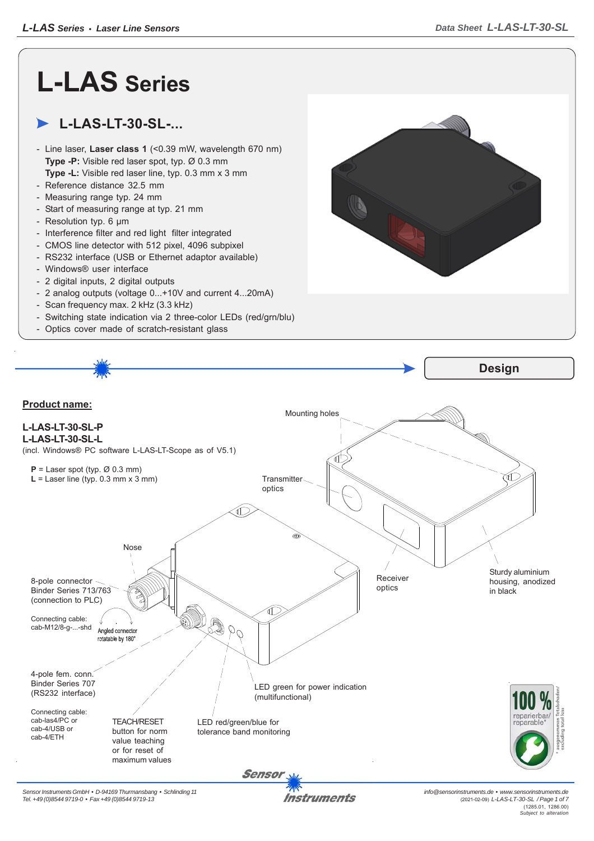## **L-LAS Series**

## **L-LAS-LT-30-SL-...**

- Line laser, **Laser class 1** (<0.39 mW, wavelength 670 nm) **Type -P:** Visible red laser spot, typ. Ø 0.3 mm **Type -L:** Visible red laser line, typ. 0.3 mm x 3 mm
- Reference distance 32.5 mm
- Measuring range typ. 24 mm
- Start of measuring range at typ. 21 mm
- Resolution typ. 6 μm
- Interference filter and red light filter integrated
- CMOS line detector with 512 pixel, 4096 subpixel
- RS232 interface (USB or Ethernet adaptor available)
- Windows® user interface
- 2 digital inputs, 2 digital outputs
- 2 analog outputs (voltage 0...+10V and current 4...20mA)
- Scan frequency max. 2 kHz (3.3 kHz)
- Switching state indication via 2 three-color LEDs (red/grn/blu)
- Optics cover made of scratch-resistant glass



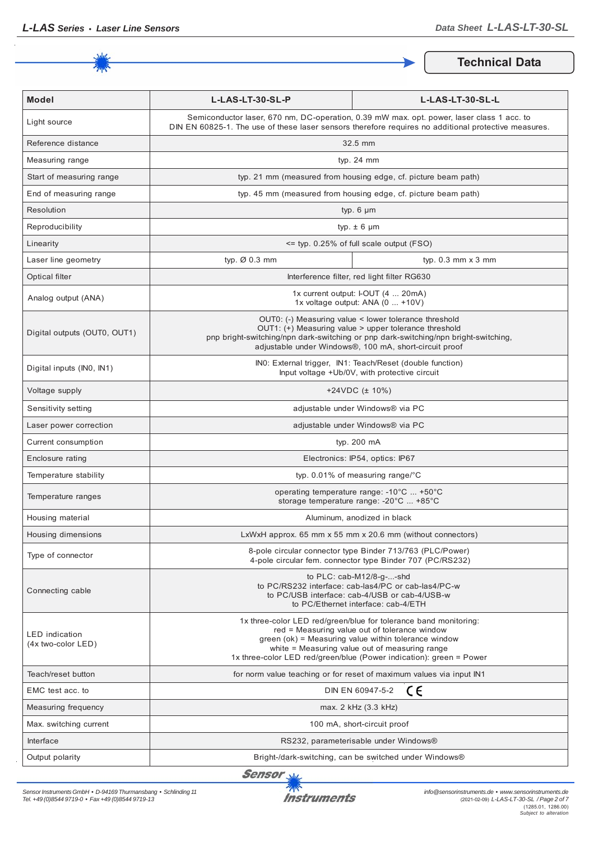

**Technical Data**

| <b>Model</b>                                | L-LAS-LT-30-SL-P                                                                                                                                                                                                                                                                                   | L-LAS-LT-30-SL-L                            |
|---------------------------------------------|----------------------------------------------------------------------------------------------------------------------------------------------------------------------------------------------------------------------------------------------------------------------------------------------------|---------------------------------------------|
| Light source                                | Semiconductor laser, 670 nm, DC-operation, 0.39 mW max. opt. power, laser class 1 acc. to<br>DIN EN 60825-1. The use of these laser sensors therefore requires no additional protective measures.                                                                                                  |                                             |
| Reference distance                          | 32.5 mm                                                                                                                                                                                                                                                                                            |                                             |
| Measuring range                             | typ. $24$ mm                                                                                                                                                                                                                                                                                       |                                             |
| Start of measuring range                    | typ. 21 mm (measured from housing edge, cf. picture beam path)                                                                                                                                                                                                                                     |                                             |
| End of measuring range                      | typ. 45 mm (measured from housing edge, cf. picture beam path)                                                                                                                                                                                                                                     |                                             |
| Resolution                                  | typ. $6 \mu m$                                                                                                                                                                                                                                                                                     |                                             |
| Reproducibility                             | typ. $\pm$ 6 µm                                                                                                                                                                                                                                                                                    |                                             |
| Linearity                                   | <= typ. 0.25% of full scale output (FSO)                                                                                                                                                                                                                                                           |                                             |
| Laser line geometry                         | typ. Ø 0.3 mm                                                                                                                                                                                                                                                                                      | typ. $0.3$ mm $\times$ 3 mm                 |
| Optical filter                              |                                                                                                                                                                                                                                                                                                    | Interference filter, red light filter RG630 |
| Analog output (ANA)                         | 1x current output: I-OUT (4  20mA)<br>1x voltage output: ANA (0  +10V)                                                                                                                                                                                                                             |                                             |
| Digital outputs (OUT0, OUT1)                | OUT0: (-) Measuring value < lower tolerance threshold<br>OUT1: (+) Measuring value > upper tolerance threshold<br>pnp bright-switching/npn dark-switching or pnp dark-switching/npn bright-switching,<br>adjustable under Windows®, 100 mA, short-circuit proof                                    |                                             |
| Digital inputs (INO, IN1)                   | INO: External trigger, IN1: Teach/Reset (double function)<br>Input voltage +Ub/0V, with protective circuit                                                                                                                                                                                         |                                             |
| Voltage supply                              | +24VDC $(\pm 10\%)$                                                                                                                                                                                                                                                                                |                                             |
| Sensitivity setting                         | adjustable under Windows® via PC                                                                                                                                                                                                                                                                   |                                             |
| Laser power correction                      | adjustable under Windows® via PC                                                                                                                                                                                                                                                                   |                                             |
| Current consumption                         | typ. 200 mA                                                                                                                                                                                                                                                                                        |                                             |
| Enclosure rating                            | Electronics: IP54, optics: IP67                                                                                                                                                                                                                                                                    |                                             |
| Temperature stability                       | typ. $0.01\%$ of measuring range/°C                                                                                                                                                                                                                                                                |                                             |
| Temperature ranges                          | operating temperature range: -10°C  +50°C<br>storage temperature range: -20°C  +85°C                                                                                                                                                                                                               |                                             |
| Housing material                            | Aluminum, anodized in black                                                                                                                                                                                                                                                                        |                                             |
| Housing dimensions                          | LxWxH approx. 65 mm x 55 mm x 20.6 mm (without connectors)                                                                                                                                                                                                                                         |                                             |
| Type of connector                           | 8-pole circular connector type Binder 713/763 (PLC/Power)<br>4-pole circular fem. connector type Binder 707 (PC/RS232)                                                                                                                                                                             |                                             |
| Connecting cable                            | to $PLC: cab-M12/8-g--shd$<br>to PC/RS232 interface: cab-las4/PC or cab-las4/PC-w<br>to PC/USB interface: cab-4/USB or cab-4/USB-w<br>to PC/Ethernet interface: cab-4/ETH                                                                                                                          |                                             |
| <b>LED</b> indication<br>(4x two-color LED) | 1x three-color LED red/green/blue for tolerance band monitoring:<br>red = Measuring value out of tolerance window<br>green (ok) = Measuring value within tolerance window<br>white = Measuring value out of measuring range<br>1x three-color LED red/green/blue (Power indication): green = Power |                                             |
| Teach/reset button                          | for norm value teaching or for reset of maximum values via input IN1                                                                                                                                                                                                                               |                                             |
| EMC test acc. to                            | ce<br>DIN EN 60947-5-2                                                                                                                                                                                                                                                                             |                                             |
| Measuring frequency                         | max. 2 kHz (3.3 kHz)                                                                                                                                                                                                                                                                               |                                             |
| Max. switching current                      | 100 mA, short-circuit proof                                                                                                                                                                                                                                                                        |                                             |
| Interface                                   | RS232, parameterisable under Windows®                                                                                                                                                                                                                                                              |                                             |
| Output polarity                             | Bright-/dark-switching, can be switched under Windows®                                                                                                                                                                                                                                             |                                             |

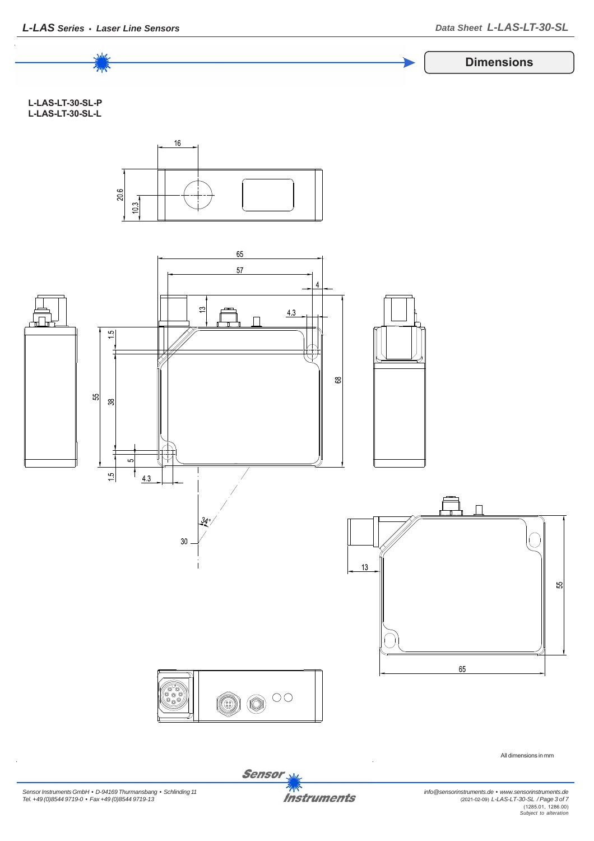

Sensor<sub>s</sub>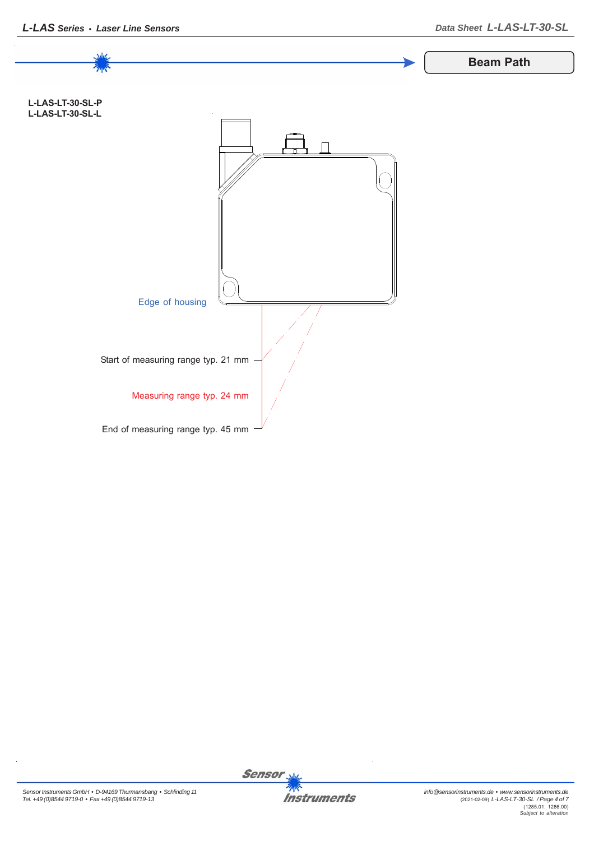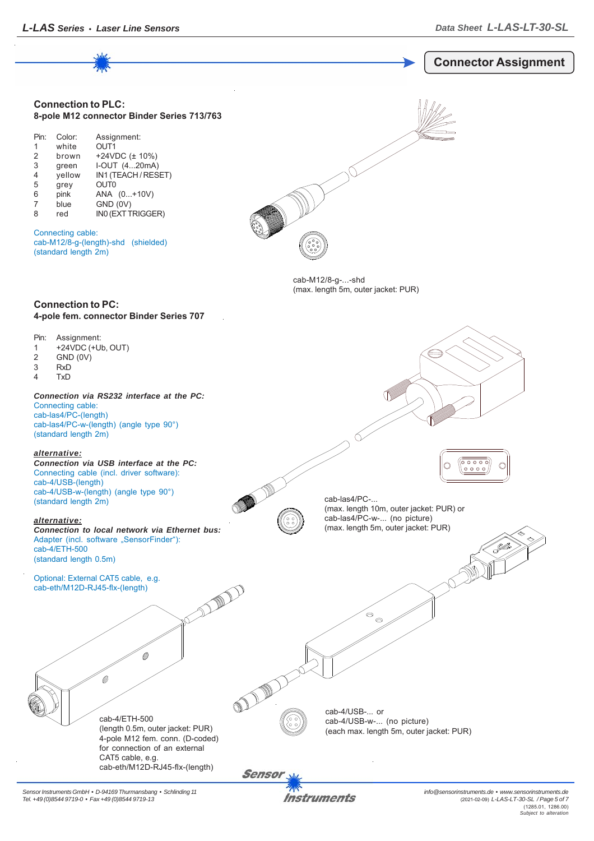

*Sensor Instruments GmbH • D-94169 Thurmansbang • Schlinding 11 Tel. +49 (0)8544 9719-0 • Fax +49 (0)8544 9719-13*

Instruments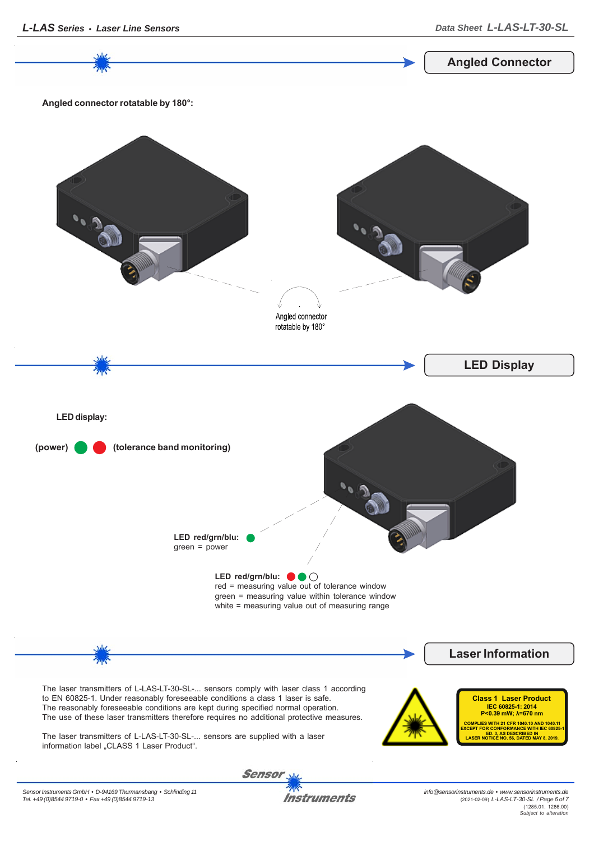*info@sensorinstruments.de • www.sensorinstruments.de* **Instruments** (2021-02-09) *L-LAS-LT-30-SL / Page 6 of 7*





(1285.01, 1286.00) *Subject to alteration*